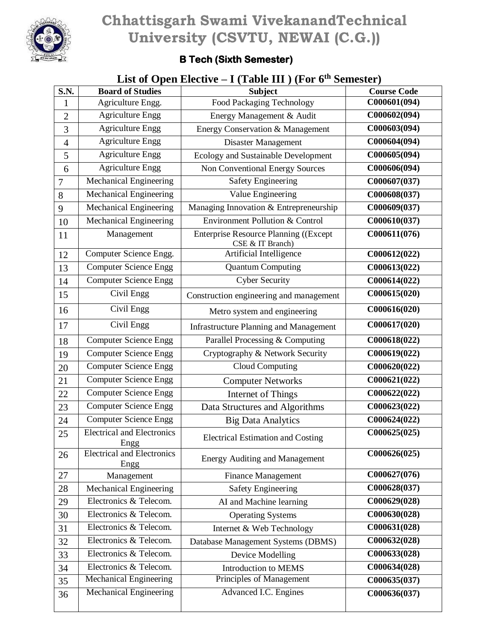

## **Chhattisgarh Swami VivekanandTechnical University (CSVTU, NEWAI (C.G.))**

## **B Tech (Sixth Semester)**

## **List of Open Elective – I (Table III ) (For 6th Semester)**

| <b>S.N.</b>    | <b>Board of Studies</b>                   | <b>Subject</b>                                                   | <b>Course Code</b>        |
|----------------|-------------------------------------------|------------------------------------------------------------------|---------------------------|
| 1              | Agriculture Engg.                         | <b>Food Packaging Technology</b>                                 | C000601(094)              |
| $\overline{2}$ | <b>Agriculture Engg</b>                   | Energy Management & Audit                                        | C000602(094)              |
| 3              | <b>Agriculture Engg</b>                   | Energy Conservation & Management                                 | C000603(094)              |
| $\overline{4}$ | <b>Agriculture Engg</b>                   | Disaster Management                                              | C000604(094)              |
| 5              | <b>Agriculture Engg</b>                   | Ecology and Sustainable Development                              | C000605(094)              |
| 6              | <b>Agriculture Engg</b>                   | Non Conventional Energy Sources                                  | C000606(094)              |
| $\overline{7}$ | Mechanical Engineering                    | <b>Safety Engineering</b>                                        | C000607(037)              |
| 8              | Mechanical Engineering                    | Value Engineering                                                | C000608(037)              |
| 9              | Mechanical Engineering                    | Managing Innovation & Entrepreneurship                           | C000609(037)              |
| 10             | Mechanical Engineering                    | Environment Pollution & Control                                  | C000610(037)              |
| 11             | Management                                | <b>Enterprise Resource Planning ((Except</b><br>CSE & IT Branch) | C000611(076)              |
| 12             | Computer Science Engg.                    | Artificial Intelligence                                          | C000612(022)              |
| 13             | <b>Computer Science Engg</b>              | <b>Quantum Computing</b>                                         | C000613(022)              |
| 14             | <b>Computer Science Engg</b>              | <b>Cyber Security</b>                                            | C000614(022)              |
| 15             | Civil Engg                                | Construction engineering and management                          | C000615(020)              |
| 16             | Civil Engg                                | Metro system and engineering                                     | C000616(020)              |
| 17             | Civil Engg                                | <b>Infrastructure Planning and Management</b>                    | C000617(020)              |
| 18             | <b>Computer Science Engg</b>              | Parallel Processing & Computing                                  | C000618(022)              |
| 19             | <b>Computer Science Engg</b>              | Cryptography & Network Security                                  | C000619(022)              |
| 20             | <b>Computer Science Engg</b>              | <b>Cloud Computing</b>                                           | C000620(022)              |
| 21             | <b>Computer Science Engg</b>              | <b>Computer Networks</b>                                         | C000621(022)              |
| 22             | <b>Computer Science Engg</b>              | Internet of Things                                               | C000622(022)              |
| 23             | <b>Computer Science Engg</b>              | Data Structures and Algorithms                                   | $\overline{C}000623(022)$ |
| 24             | <b>Computer Science Engg</b>              | <b>Big Data Analytics</b>                                        | $\overline{C}000624(022)$ |
| 25             | <b>Electrical and Electronics</b><br>Engg | <b>Electrical Estimation and Costing</b>                         | $\overline{C}000625(025)$ |
| 26             | <b>Electrical and Electronics</b><br>Engg | <b>Energy Auditing and Management</b>                            | C000626(025)              |
| 27             | Management                                | <b>Finance Management</b>                                        | C000627(076)              |
| 28             | <b>Mechanical Engineering</b>             | <b>Safety Engineering</b>                                        | C000628(037)              |
| 29             | Electronics & Telecom.                    | AI and Machine learning                                          | C000629(028)              |
| 30             | Electronics & Telecom.                    | <b>Operating Systems</b>                                         | C000630(028)              |
| 31             | Electronics & Telecom.                    | Internet & Web Technology                                        | C000631(028)              |
| 32             | Electronics & Telecom.                    | Database Management Systems (DBMS)                               | C000632(028)              |
| 33             | Electronics & Telecom.                    | Device Modelling                                                 | C000633(028)              |
| 34             | Electronics & Telecom.                    | <b>Introduction to MEMS</b>                                      | C000634(028)              |
| 35             | <b>Mechanical Engineering</b>             | Principles of Management                                         | C000635(037)              |
| 36             | <b>Mechanical Engineering</b>             | Advanced I.C. Engines                                            | C000636(037)              |